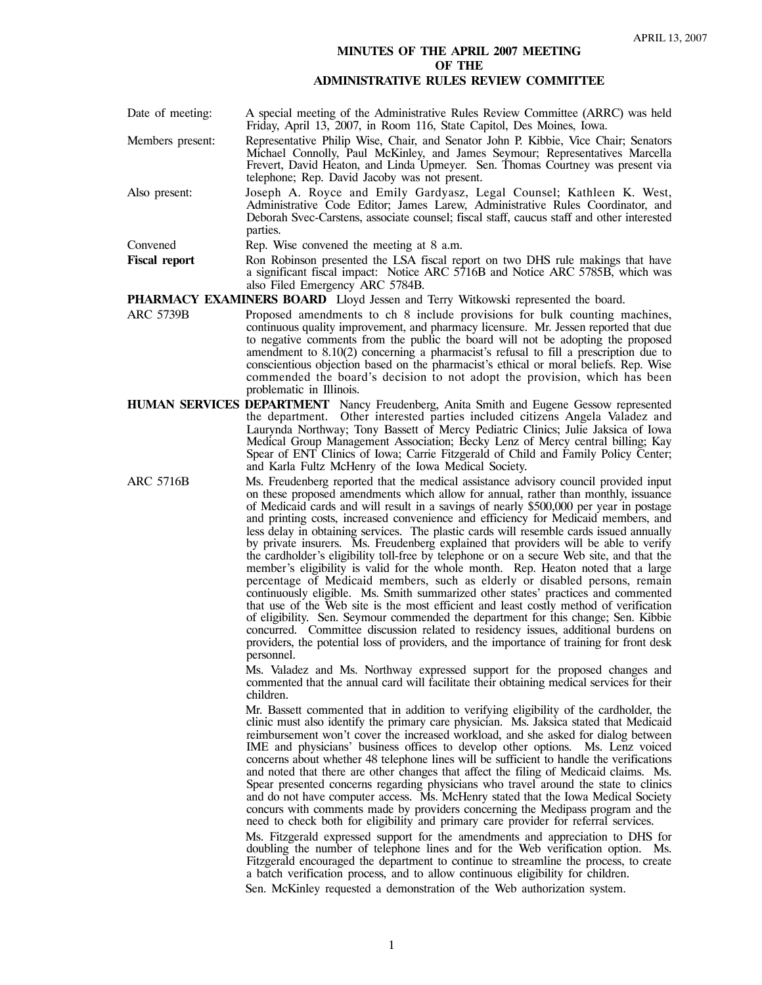## **MINUTES OF THE APRIL 2007 MEETING OF THE**

## **ADMINISTRATIVE RULES REVIEW COMMITTEE**

Date of meeting: A special meeting of the Administrative Rules Review Committee (ARRC) was held Friday, April 13, 2007, in Room 116, State Capitol, Des Moines, Iowa. Members present: Representative Philip Wise, Chair, and Senator John P. Kibbie, Vice Chair; Senators Michael Connolly, Paul McKinley, and James Seymour; Representatives Marcella Frevert, David Heaton, and Linda Upmeyer. Sen. Thomas Courtney was present via telephone; Rep. David Jacoby was not present. Also present: Joseph A. Royce and Emily Gardyasz, Legal Counsel; Kathleen K. West, Administrative Code Editor; James Larew, Administrative Rules Coordinator, and Deborah Svec-Carstens, associate counsel; fiscal staff, caucus staff and other interested parties. Convened Rep. Wise convened the meeting at 8 a.m. Fiscal report Ron Robinson presented the LSA fiscal report on two DHS rule makings that have a significant fiscal impact: Notice ARC 5716B and Notice ARC 5785B, which was

also Filed Emergency ARC 5784B.

**PHARMACY EXAMINERS BOARD** Lloyd Jessen and Terry Witkowski represented the board.

- ARC 5739B Proposed amendments to ch 8 include provisions for bulk counting machines, continuous quality improvement, and pharmacy licensure. Mr. Jessen reported that due to negative comments from the public the board will not be adopting the proposed amendment to 8.10(2) concerning a pharmacist's refusal to fill a prescription due to conscientious objection based on the pharmacist's ethical or moral beliefs. Rep. Wise commended the board's decision to not adopt the provision, which has been problematic in Illinois.
- **HUMAN SERVICES DEPARTMENT** Nancy Freudenberg, Anita Smith and Eugene Gessow represented the department. Other interested parties included citizens Angela Valadez and Laurynda Northway; Tony Bassett of Mercy Pediatric Clinics; Julie Jaksica of Iowa Medical Group Management Association; Becky Lenz of Mercy central billing; Kay Spear of ENT Clinics of Iowa; Carrie Fitzgerald of Child and Family Policy Center; and Karla Fultz McHenry of the Iowa Medical Society.
- ARC 5716B Ms. Freudenberg reported that the medical assistance advisory council provided input on these proposed amendments which allow for annual, rather than monthly, issuance of Medicaid cards and will result in a savings of nearly \$500,000 per year in postage and printing costs, increased convenience and efficiency for Medicaid members, and less delay in obtaining services. The plastic cards will resemble cards issued annually by private insurers. Ms. Freudenberg explained that providers will be able to verify the cardholder's eligibility toll-free by telephone or on a secure Web site, and that the member's eligibility is valid for the whole month. Rep. Heaton noted that a large percentage of Medicaid members, such as elderly or disabled persons, remain continuously eligible. Ms. Smith summarized other states' practices and commented that use of the Web site is the most efficient and least costly method of verification of eligibility. Sen. Seymour commended the department for this change; Sen. Kibbie concurred. Committee discussion related to residency issues, additional burdens on providers, the potential loss of providers, and the importance of training for front desk personnel.

Ms. Valadez and Ms. Northway expressed support for the proposed changes and commented that the annual card will facilitate their obtaining medical services for their children.

Mr. Bassett commented that in addition to verifying eligibility of the cardholder, the clinic must also identify the primary care physician. Ms. Jaksica stated that Medicaid reimbursement won't cover the increased workload, and she asked for dialog between IME and physicians' business offices to develop other options. Ms. Lenz voiced concerns about whether 48 telephone lines will be sufficient to handle the verifications and noted that there are other changes that affect the filing of Medicaid claims. Ms. Spear presented concerns regarding physicians who travel around the state to clinics and do not have computer access. Ms. McHenry stated that the Iowa Medical Society concurs with comments made by providers concerning the Medipass program and the need to check both for eligibility and primary care provider for referral services.

Ms. Fitzgerald expressed support for the amendments and appreciation to DHS for doubling the number of telephone lines and for the Web verification option. Ms. Fitzgerald encouraged the department to continue to streamline the process, to create a batch verification process, and to allow continuous eligibility for children.

Sen. McKinley requested a demonstration of the Web authorization system.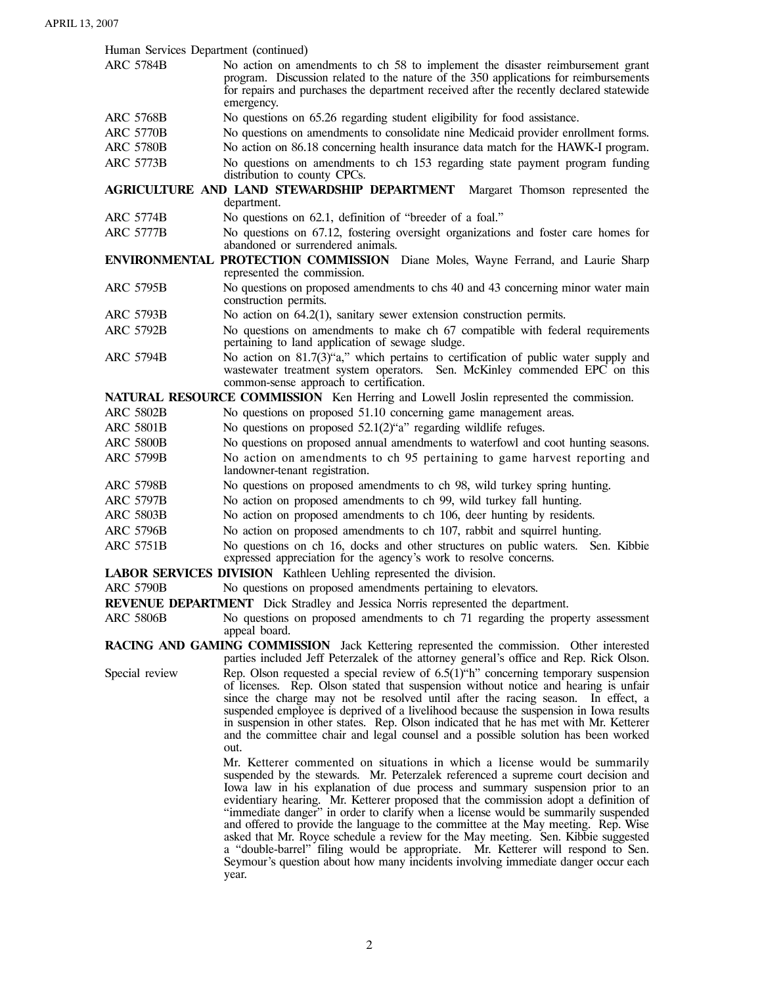Human Services Department (continued)

- ARC 5784B No action on amendments to ch 58 to implement the disaster reimbursement grant program. Discussion related to the nature of the 350 applications for reimbursements for repairs and purchases the department received after the recently declared statewide emergency.
- ARC 5768B No questions on 65.26 regarding student eligibility for food assistance.
- ARC 5770B No questions on amendments to consolidate nine Medicaid provider enrollment forms.
- ARC 5780B No action on 86.18 concerning health insurance data match for the HAWK-I program. ARC 5773B No questions on amendments to ch 153 regarding state payment program funding distribution to county CPCs.

**AGRICULTURE AND LAND STEWARDSHIP DEPARTMENT** Margaret Thomson represented the department.

- ARC 5774B No questions on 62.1, definition of "breeder of a foal."
- ARC 5777B No questions on 67.12, fostering oversight organizations and foster care homes for abandoned or surrendered animals.

**ENVIRONMENTAL PROTECTION COMMISSION** Diane Moles, Wayne Ferrand, and Laurie Sharp represented the commission.

- ARC 5795B No questions on proposed amendments to chs 40 and 43 concerning minor water main construction permits.
- ARC 5793B No action on 64.2(1), sanitary sewer extension construction permits.
- ARC 5792B No questions on amendments to make ch 67 compatible with federal requirements pertaining to land application of sewage sludge.
- ARC 5794B No action on 81.7(3)"a," which pertains to certification of public water supply and wastewater treatment system operators. Sen. McKinley commended EPC on this common-sense approach to certification.

**NATURAL RESOURCE COMMISSION** Ken Herring and Lowell Joslin represented the commission.

- ARC 5802B No questions on proposed 51.10 concerning game management areas.
- ARC 5801B No questions on proposed 52.1(2)"a" regarding wildlife refuges.
- ARC 5800B No questions on proposed annual amendments to waterfowl and coot hunting seasons.
- ARC 5799B No action on amendments to ch 95 pertaining to game harvest reporting and landowner-tenant registration.
- ARC 5798B No questions on proposed amendments to ch 98, wild turkey spring hunting.
- ARC 5797B No action on proposed amendments to ch 99, wild turkey fall hunting.
- ARC 5803B No action on proposed amendments to ch 106, deer hunting by residents.
- ARC 5796B No action on proposed amendments to ch 107, rabbit and squirrel hunting.
- ARC 5751B No questions on ch 16, docks and other structures on public waters. Sen. Kibbie expressed appreciation for the agency's work to resolve concerns.

**LABOR SERVICES DIVISION** Kathleen Uehling represented the division.

ARC 5790B No questions on proposed amendments pertaining to elevators.

**REVENUE DEPARTMENT** Dick Stradley and Jessica Norris represented the department.

ARC 5806B No questions on proposed amendments to ch 71 regarding the property assessment appeal board.

**RACING AND GAMING COMMISSION** Jack Kettering represented the commission. Other interested parties included Jeff Peterzalek of the attorney general's office and Rep. Rick Olson.

Special review Rep. Olson requested a special review of 6.5(1) <sup>or</sup> concerning temporary suspension of licenses. Rep. Olson stated that suspension without notice and hearing is unfair since the charge may not be resolved until after the racing season. In effect, a suspended employee is deprived of a livelihood because the suspension in Iowa results in suspension in other states. Rep. Olson indicated that he has met with Mr. Ketterer and the committee chair and legal counsel and a possible solution has been worked out.

Mr. Ketterer commented on situations in which a license would be summarily suspended by the stewards. Mr. Peterzalek referenced a supreme court decision and Iowa law in his explanation of due process and summary suspension prior to an evidentiary hearing. Mr. Ketterer proposed that the commission adopt a definition of "immediate danger" in order to clarify when a license would be summarily suspended and offered to provide the language to the committee at the May meeting. Rep. Wise asked that Mr. Royce schedule a review for the May meeting. Sen. Kibbie suggested a "double-barrel" filing would be appropriate. Mr. Ketterer will respond to Sen. Seymour's question about how many incidents involving immediate danger occur each year.